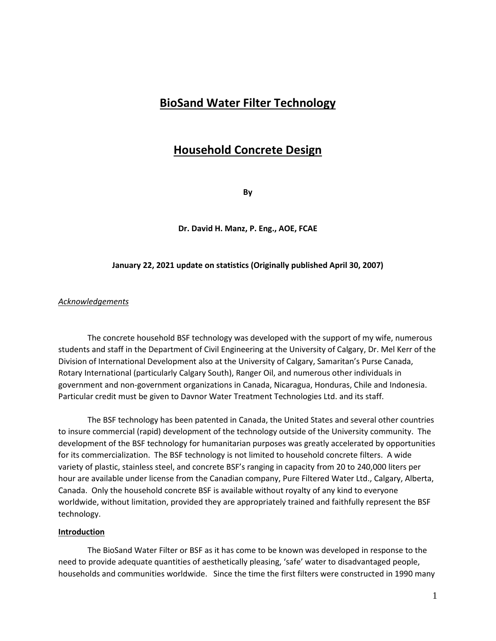# **BioSand Water Filter Technology**

# **Household Concrete Design**

**By**

**Dr. David H. Manz, P. Eng., AOE, FCAE**

### **January 22, 2021 update on statistics (Originally published April 30, 2007)**

### *Acknowledgements*

The concrete household BSF technology was developed with the support of my wife, numerous students and staff in the Department of Civil Engineering at the University of Calgary, Dr. Mel Kerr of the Division of International Development also at the University of Calgary, Samaritan's Purse Canada, Rotary International (particularly Calgary South), Ranger Oil, and numerous other individuals in government and non-government organizations in Canada, Nicaragua, Honduras, Chile and Indonesia. Particular credit must be given to Davnor Water Treatment Technologies Ltd. and its staff.

The BSF technology has been patented in Canada, the United States and several other countries to insure commercial (rapid) development of the technology outside of the University community. The development of the BSF technology for humanitarian purposes was greatly accelerated by opportunities for its commercialization. The BSF technology is not limited to household concrete filters. A wide variety of plastic, stainless steel, and concrete BSF's ranging in capacity from 20 to 240,000 liters per hour are available under license from the Canadian company, Pure Filtered Water Ltd., Calgary, Alberta, Canada. Only the household concrete BSF is available without royalty of any kind to everyone worldwide, without limitation, provided they are appropriately trained and faithfully represent the BSF technology.

#### **Introduction**

The BioSand Water Filter or BSF as it has come to be known was developed in response to the need to provide adequate quantities of aesthetically pleasing, 'safe' water to disadvantaged people, households and communities worldwide. Since the time the first filters were constructed in 1990 many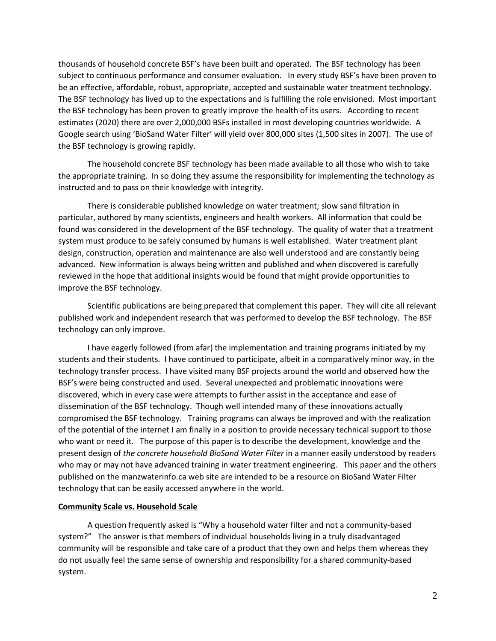thousands of household concrete BSF's have been built and operated. The BSF technology has been subject to continuous performance and consumer evaluation. In every study BSF's have been proven to be an effective, affordable, robust, appropriate, accepted and sustainable water treatment technology. The BSF technology has lived up to the expectations and is fulfilling the role envisioned. Most important the BSF technology has been proven to greatly improve the health of its users. According to recent estimates (2020) there are over 2,000,000 BSFs installed in most developing countries worldwide. A Google search using 'BioSand Water Filter' will yield over 800,000 sites (1,500 sites in 2007). The use of the BSF technology is growing rapidly.

The household concrete BSF technology has been made available to all those who wish to take the appropriate training. In so doing they assume the responsibility for implementing the technology as instructed and to pass on their knowledge with integrity.

There is considerable published knowledge on water treatment; slow sand filtration in particular, authored by many scientists, engineers and health workers. All information that could be found was considered in the development of the BSF technology. The quality of water that a treatment system must produce to be safely consumed by humans is well established. Water treatment plant design, construction, operation and maintenance are also well understood and are constantly being advanced. New information is always being written and published and when discovered is carefully reviewed in the hope that additional insights would be found that might provide opportunities to improve the BSF technology.

Scientific publications are being prepared that complement this paper. They will cite all relevant published work and independent research that was performed to develop the BSF technology. The BSF technology can only improve.

I have eagerly followed (from afar) the implementation and training programs initiated by my students and their students. I have continued to participate, albeit in a comparatively minor way, in the technology transfer process. I have visited many BSF projects around the world and observed how the BSF's were being constructed and used. Several unexpected and problematic innovations were discovered, which in every case were attempts to further assist in the acceptance and ease of dissemination of the BSF technology. Though well intended many of these innovations actually compromised the BSF technology. Training programs can always be improved and with the realization of the potential of the internet I am finally in a position to provide necessary technical support to those who want or need it. The purpose of this paper is to describe the development, knowledge and the present design of *the concrete household BioSand Water Filter* in a manner easily understood by readers who may or may not have advanced training in water treatment engineering. This paper and the others published on the manzwaterinfo.ca web site are intended to be a resource on BioSand Water Filter technology that can be easily accessed anywhere in the world.

### **Community Scale vs. Household Scale**

A question frequently asked is "Why a household water filter and not a community-based system?" The answer is that members of individual households living in a truly disadvantaged community will be responsible and take care of a product that they own and helps them whereas they do not usually feel the same sense of ownership and responsibility for a shared community-based system.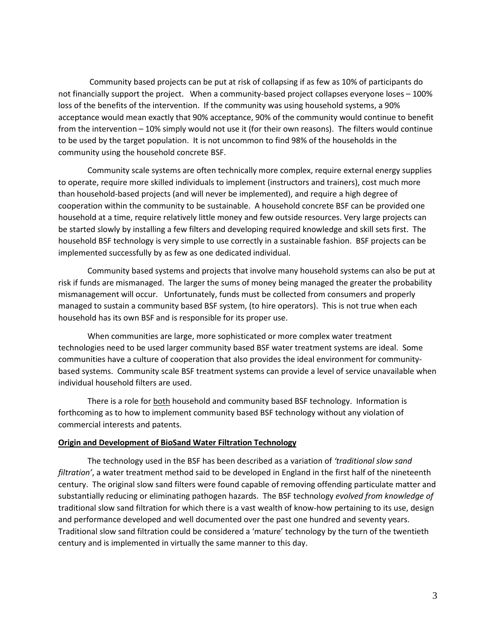Community based projects can be put at risk of collapsing if as few as 10% of participants do not financially support the project. When a community-based project collapses everyone loses – 100% loss of the benefits of the intervention. If the community was using household systems, a 90% acceptance would mean exactly that 90% acceptance, 90% of the community would continue to benefit from the intervention – 10% simply would not use it (for their own reasons). The filters would continue to be used by the target population. It is not uncommon to find 98% of the households in the community using the household concrete BSF.

Community scale systems are often technically more complex, require external energy supplies to operate, require more skilled individuals to implement (instructors and trainers), cost much more than household-based projects (and will never be implemented), and require a high degree of cooperation within the community to be sustainable. A household concrete BSF can be provided one household at a time, require relatively little money and few outside resources. Very large projects can be started slowly by installing a few filters and developing required knowledge and skill sets first. The household BSF technology is very simple to use correctly in a sustainable fashion. BSF projects can be implemented successfully by as few as one dedicated individual.

Community based systems and projects that involve many household systems can also be put at risk if funds are mismanaged. The larger the sums of money being managed the greater the probability mismanagement will occur. Unfortunately, funds must be collected from consumers and properly managed to sustain a community based BSF system, (to hire operators). This is not true when each household has its own BSF and is responsible for its proper use.

When communities are large, more sophisticated or more complex water treatment technologies need to be used larger community based BSF water treatment systems are ideal. Some communities have a culture of cooperation that also provides the ideal environment for communitybased systems. Community scale BSF treatment systems can provide a level of service unavailable when individual household filters are used.

There is a role for both household and community based BSF technology. Information is forthcoming as to how to implement community based BSF technology without any violation of commercial interests and patents.

### **Origin and Development of BioSand Water Filtration Technology**

The technology used in the BSF has been described as a variation of *'traditional slow sand filtration'*, a water treatment method said to be developed in England in the first half of the nineteenth century. The original slow sand filters were found capable of removing offending particulate matter and substantially reducing or eliminating pathogen hazards. The BSF technology *evolved from knowledge of* traditional slow sand filtration for which there is a vast wealth of know-how pertaining to its use, design and performance developed and well documented over the past one hundred and seventy years. Traditional slow sand filtration could be considered a 'mature' technology by the turn of the twentieth century and is implemented in virtually the same manner to this day.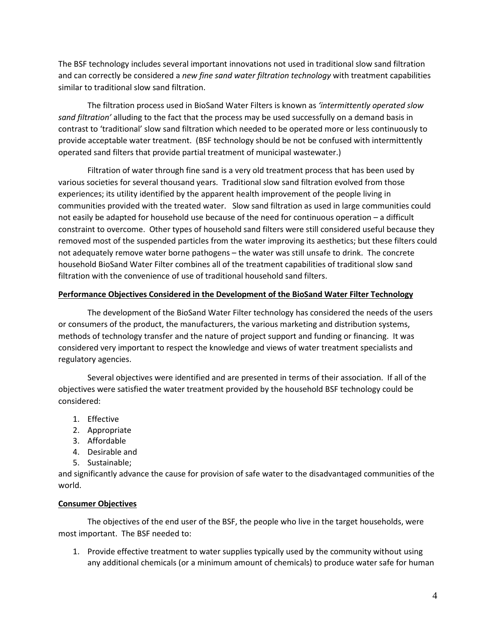The BSF technology includes several important innovations not used in traditional slow sand filtration and can correctly be considered a *new fine sand water filtration technology* with treatment capabilities similar to traditional slow sand filtration.

The filtration process used in BioSand Water Filters is known as *'intermittently operated slow sand filtration'* alluding to the fact that the process may be used successfully on a demand basis in contrast to 'traditional' slow sand filtration which needed to be operated more or less continuously to provide acceptable water treatment. (BSF technology should be not be confused with intermittently operated sand filters that provide partial treatment of municipal wastewater.)

Filtration of water through fine sand is a very old treatment process that has been used by various societies for several thousand years. Traditional slow sand filtration evolved from those experiences; its utility identified by the apparent health improvement of the people living in communities provided with the treated water. Slow sand filtration as used in large communities could not easily be adapted for household use because of the need for continuous operation – a difficult constraint to overcome. Other types of household sand filters were still considered useful because they removed most of the suspended particles from the water improving its aesthetics; but these filters could not adequately remove water borne pathogens – the water was still unsafe to drink. The concrete household BioSand Water Filter combines all of the treatment capabilities of traditional slow sand filtration with the convenience of use of traditional household sand filters.

# **Performance Objectives Considered in the Development of the BioSand Water Filter Technology**

The development of the BioSand Water Filter technology has considered the needs of the users or consumers of the product, the manufacturers, the various marketing and distribution systems, methods of technology transfer and the nature of project support and funding or financing. It was considered very important to respect the knowledge and views of water treatment specialists and regulatory agencies.

Several objectives were identified and are presented in terms of their association. If all of the objectives were satisfied the water treatment provided by the household BSF technology could be considered:

- 1. Effective
- 2. Appropriate
- 3. Affordable
- 4. Desirable and
- 5. Sustainable;

and significantly advance the cause for provision of safe water to the disadvantaged communities of the world.

# **Consumer Objectives**

The objectives of the end user of the BSF, the people who live in the target households, were most important. The BSF needed to:

1. Provide effective treatment to water supplies typically used by the community without using any additional chemicals (or a minimum amount of chemicals) to produce water safe for human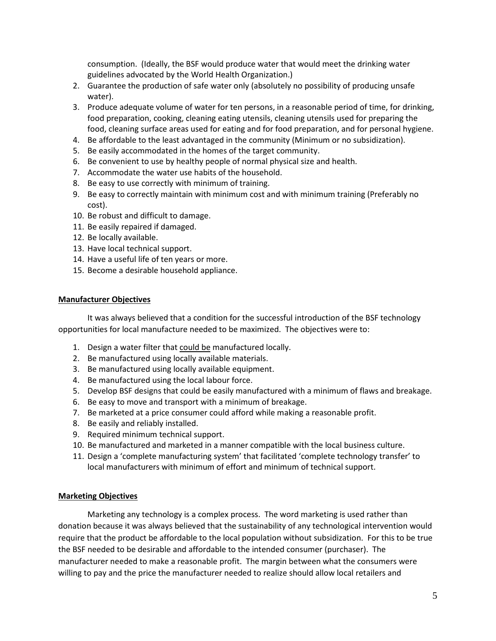consumption. (Ideally, the BSF would produce water that would meet the drinking water guidelines advocated by the World Health Organization.)

- 2. Guarantee the production of safe water only (absolutely no possibility of producing unsafe water).
- 3. Produce adequate volume of water for ten persons, in a reasonable period of time, for drinking, food preparation, cooking, cleaning eating utensils, cleaning utensils used for preparing the food, cleaning surface areas used for eating and for food preparation, and for personal hygiene.
- 4. Be affordable to the least advantaged in the community (Minimum or no subsidization).
- 5. Be easily accommodated in the homes of the target community.
- 6. Be convenient to use by healthy people of normal physical size and health.
- 7. Accommodate the water use habits of the household.
- 8. Be easy to use correctly with minimum of training.
- 9. Be easy to correctly maintain with minimum cost and with minimum training (Preferably no cost).
- 10. Be robust and difficult to damage.
- 11. Be easily repaired if damaged.
- 12. Be locally available.
- 13. Have local technical support.
- 14. Have a useful life of ten years or more.
- 15. Become a desirable household appliance.

## **Manufacturer Objectives**

It was always believed that a condition for the successful introduction of the BSF technology opportunities for local manufacture needed to be maximized. The objectives were to:

- 1. Design a water filter that could be manufactured locally.
- 2. Be manufactured using locally available materials.
- 3. Be manufactured using locally available equipment.
- 4. Be manufactured using the local labour force.
- 5. Develop BSF designs that could be easily manufactured with a minimum of flaws and breakage.
- 6. Be easy to move and transport with a minimum of breakage.
- 7. Be marketed at a price consumer could afford while making a reasonable profit.
- 8. Be easily and reliably installed.
- 9. Required minimum technical support.
- 10. Be manufactured and marketed in a manner compatible with the local business culture.
- 11. Design a 'complete manufacturing system' that facilitated 'complete technology transfer' to local manufacturers with minimum of effort and minimum of technical support.

# **Marketing Objectives**

Marketing any technology is a complex process. The word marketing is used rather than donation because it was always believed that the sustainability of any technological intervention would require that the product be affordable to the local population without subsidization. For this to be true the BSF needed to be desirable and affordable to the intended consumer (purchaser). The manufacturer needed to make a reasonable profit. The margin between what the consumers were willing to pay and the price the manufacturer needed to realize should allow local retailers and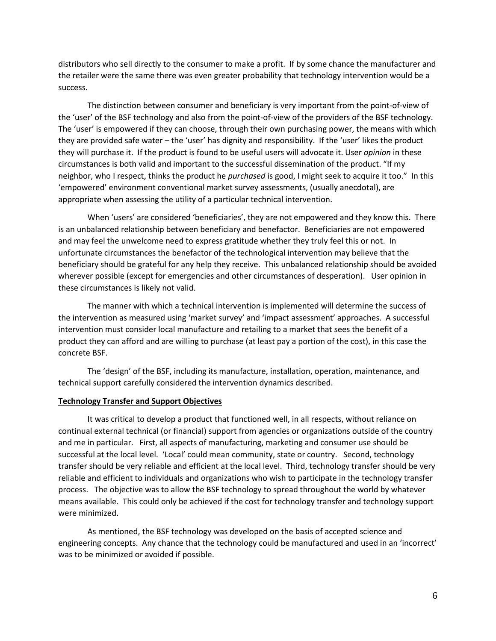distributors who sell directly to the consumer to make a profit. If by some chance the manufacturer and the retailer were the same there was even greater probability that technology intervention would be a success.

The distinction between consumer and beneficiary is very important from the point-of-view of the 'user' of the BSF technology and also from the point-of-view of the providers of the BSF technology. The 'user' is empowered if they can choose, through their own purchasing power, the means with which they are provided safe water – the 'user' has dignity and responsibility. If the 'user' likes the product they will purchase it. If the product is found to be useful users will advocate it. User *opinion* in these circumstances is both valid and important to the successful dissemination of the product. "If my neighbor, who I respect, thinks the product he *purchased* is good, I might seek to acquire it too." In this 'empowered' environment conventional market survey assessments, (usually anecdotal), are appropriate when assessing the utility of a particular technical intervention.

When 'users' are considered 'beneficiaries', they are not empowered and they know this. There is an unbalanced relationship between beneficiary and benefactor. Beneficiaries are not empowered and may feel the unwelcome need to express gratitude whether they truly feel this or not. In unfortunate circumstances the benefactor of the technological intervention may believe that the beneficiary should be grateful for any help they receive. This unbalanced relationship should be avoided wherever possible (except for emergencies and other circumstances of desperation). User opinion in these circumstances is likely not valid.

The manner with which a technical intervention is implemented will determine the success of the intervention as measured using 'market survey' and 'impact assessment' approaches. A successful intervention must consider local manufacture and retailing to a market that sees the benefit of a product they can afford and are willing to purchase (at least pay a portion of the cost), in this case the concrete BSF.

The 'design' of the BSF, including its manufacture, installation, operation, maintenance, and technical support carefully considered the intervention dynamics described.

#### **Technology Transfer and Support Objectives**

It was critical to develop a product that functioned well, in all respects, without reliance on continual external technical (or financial) support from agencies or organizations outside of the country and me in particular. First, all aspects of manufacturing, marketing and consumer use should be successful at the local level. 'Local' could mean community, state or country. Second, technology transfer should be very reliable and efficient at the local level. Third, technology transfer should be very reliable and efficient to individuals and organizations who wish to participate in the technology transfer process. The objective was to allow the BSF technology to spread throughout the world by whatever means available. This could only be achieved if the cost for technology transfer and technology support were minimized.

As mentioned, the BSF technology was developed on the basis of accepted science and engineering concepts. Any chance that the technology could be manufactured and used in an 'incorrect' was to be minimized or avoided if possible.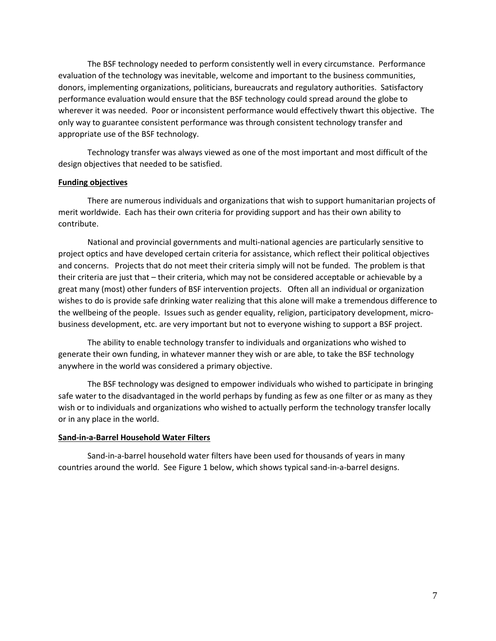The BSF technology needed to perform consistently well in every circumstance. Performance evaluation of the technology was inevitable, welcome and important to the business communities, donors, implementing organizations, politicians, bureaucrats and regulatory authorities. Satisfactory performance evaluation would ensure that the BSF technology could spread around the globe to wherever it was needed. Poor or inconsistent performance would effectively thwart this objective. The only way to guarantee consistent performance was through consistent technology transfer and appropriate use of the BSF technology.

Technology transfer was always viewed as one of the most important and most difficult of the design objectives that needed to be satisfied.

### **Funding objectives**

There are numerous individuals and organizations that wish to support humanitarian projects of merit worldwide. Each has their own criteria for providing support and has their own ability to contribute.

National and provincial governments and multi-national agencies are particularly sensitive to project optics and have developed certain criteria for assistance, which reflect their political objectives and concerns. Projects that do not meet their criteria simply will not be funded. The problem is that their criteria are just that – their criteria, which may not be considered acceptable or achievable by a great many (most) other funders of BSF intervention projects. Often all an individual or organization wishes to do is provide safe drinking water realizing that this alone will make a tremendous difference to the wellbeing of the people. Issues such as gender equality, religion, participatory development, microbusiness development, etc. are very important but not to everyone wishing to support a BSF project.

The ability to enable technology transfer to individuals and organizations who wished to generate their own funding, in whatever manner they wish or are able, to take the BSF technology anywhere in the world was considered a primary objective.

The BSF technology was designed to empower individuals who wished to participate in bringing safe water to the disadvantaged in the world perhaps by funding as few as one filter or as many as they wish or to individuals and organizations who wished to actually perform the technology transfer locally or in any place in the world.

### **Sand-in-a-Barrel Household Water Filters**

Sand-in-a-barrel household water filters have been used for thousands of years in many countries around the world. See Figure 1 below, which shows typical sand-in-a-barrel designs.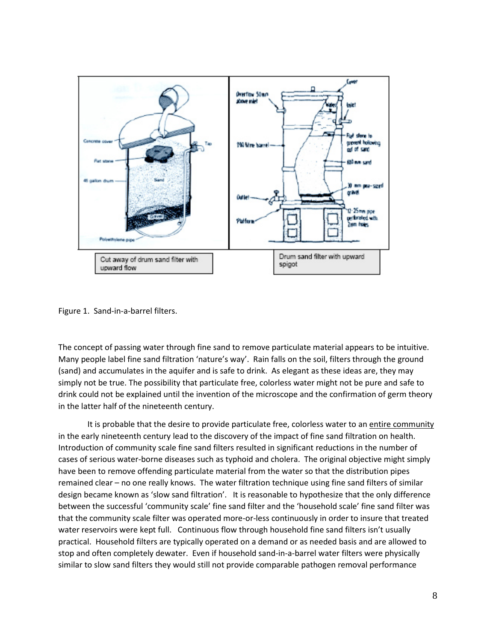

Figure 1. Sand-in-a-barrel filters.

The concept of passing water through fine sand to remove particulate material appears to be intuitive. Many people label fine sand filtration 'nature's way'. Rain falls on the soil, filters through the ground (sand) and accumulates in the aquifer and is safe to drink. As elegant as these ideas are, they may simply not be true. The possibility that particulate free, colorless water might not be pure and safe to drink could not be explained until the invention of the microscope and the confirmation of germ theory in the latter half of the nineteenth century.

It is probable that the desire to provide particulate free, colorless water to an entire community in the early nineteenth century lead to the discovery of the impact of fine sand filtration on health. Introduction of community scale fine sand filters resulted in significant reductions in the number of cases of serious water-borne diseases such as typhoid and cholera. The original objective might simply have been to remove offending particulate material from the water so that the distribution pipes remained clear – no one really knows. The water filtration technique using fine sand filters of similar design became known as 'slow sand filtration'. It is reasonable to hypothesize that the only difference between the successful 'community scale' fine sand filter and the 'household scale' fine sand filter was that the community scale filter was operated more-or-less continuously in order to insure that treated water reservoirs were kept full. Continuous flow through household fine sand filters isn't usually practical. Household filters are typically operated on a demand or as needed basis and are allowed to stop and often completely dewater. Even if household sand-in-a-barrel water filters were physically similar to slow sand filters they would still not provide comparable pathogen removal performance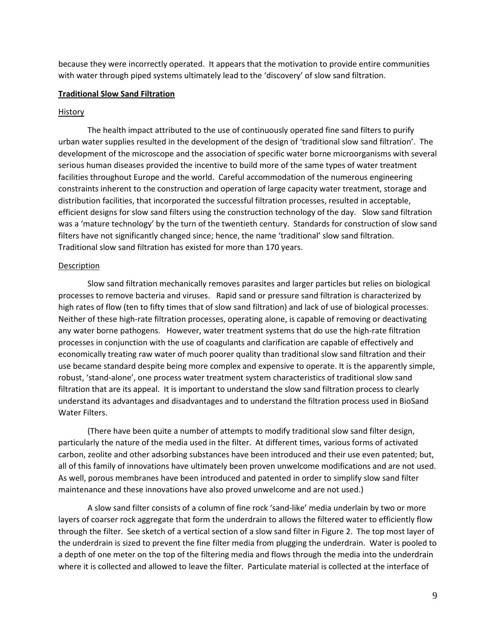because they were incorrectly operated. It appears that the motivation to provide entire communities with water through piped systems ultimately lead to the 'discovery' of slow sand filtration.

#### **Traditional Slow Sand Filtration**

#### History

The health impact attributed to the use of continuously operated fine sand filters to purify urban water supplies resulted in the development of the design of 'traditional slow sand filtration'. The development of the microscope and the association of specific water borne microorganisms with several serious human diseases provided the incentive to build more of the same types of water treatment facilities throughout Europe and the world. Careful accommodation of the numerous engineering constraints inherent to the construction and operation of large capacity water treatment, storage and distribution facilities, that incorporated the successful filtration processes, resulted in acceptable, efficient designs for slow sand filters using the construction technology of the day. Slow sand filtration was a 'mature technology' by the turn of the twentieth century. Standards for construction of slow sand filters have not significantly changed since; hence, the name 'traditional' slow sand filtration. Traditional slow sand filtration has existed for more than 170 years.

#### Description

Slow sand filtration mechanically removes parasites and larger particles but relies on biological processes to remove bacteria and viruses. Rapid sand or pressure sand filtration is characterized by high rates of flow (ten to fifty times that of slow sand filtration) and lack of use of biological processes. Neither of these high-rate filtration processes, operating alone, is capable of removing or deactivating any water borne pathogens. However, water treatment systems that do use the high-rate filtration processes in conjunction with the use of coagulants and clarification are capable of effectively and economically treating raw water of much poorer quality than traditional slow sand filtration and their use became standard despite being more complex and expensive to operate. It is the apparently simple, robust, 'stand-alone', one process water treatment system characteristics of traditional slow sand filtration that are its appeal. It is important to understand the slow sand filtration process to clearly understand its advantages and disadvantages and to understand the filtration process used in BioSand Water Filters.

(There have been quite a number of attempts to modify traditional slow sand filter design, particularly the nature of the media used in the filter. At different times, various forms of activated carbon, zeolite and other adsorbing substances have been introduced and their use even patented; but, all of this family of innovations have ultimately been proven unwelcome modifications and are not used. As well, porous membranes have been introduced and patented in order to simplify slow sand filter maintenance and these innovations have also proved unwelcome and are not used.)

A slow sand filter consists of a column of fine rock 'sand-like' media underlain by two or more layers of coarser rock aggregate that form the underdrain to allows the filtered water to efficiently flow through the filter. See sketch of a vertical section of a slow sand filter in Figure 2. The top most layer of the underdrain is sized to prevent the fine filter media from plugging the underdrain. Water is pooled to a depth of one meter on the top of the filtering media and flows through the media into the underdrain where it is collected and allowed to leave the filter. Particulate material is collected at the interface of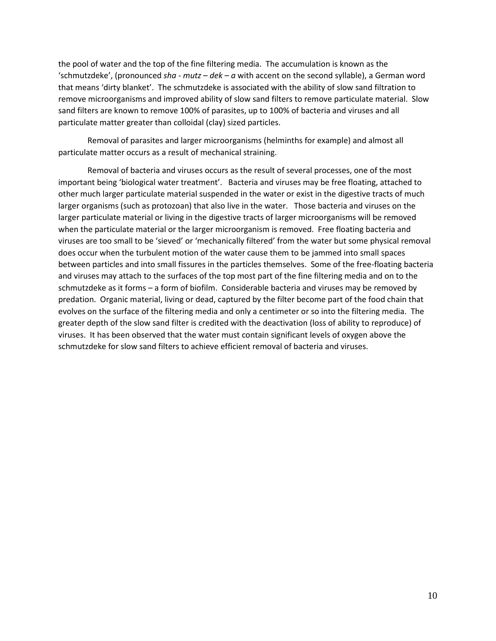the pool of water and the top of the fine filtering media. The accumulation is known as the 'schmutzdeke', (pronounced *sha - mutz – dek – a* with accent on the second syllable), a German word that means 'dirty blanket'. The schmutzdeke is associated with the ability of slow sand filtration to remove microorganisms and improved ability of slow sand filters to remove particulate material. Slow sand filters are known to remove 100% of parasites, up to 100% of bacteria and viruses and all particulate matter greater than colloidal (clay) sized particles.

Removal of parasites and larger microorganisms (helminths for example) and almost all particulate matter occurs as a result of mechanical straining.

Removal of bacteria and viruses occurs as the result of several processes, one of the most important being 'biological water treatment'. Bacteria and viruses may be free floating, attached to other much larger particulate material suspended in the water or exist in the digestive tracts of much larger organisms (such as protozoan) that also live in the water. Those bacteria and viruses on the larger particulate material or living in the digestive tracts of larger microorganisms will be removed when the particulate material or the larger microorganism is removed. Free floating bacteria and viruses are too small to be 'sieved' or 'mechanically filtered' from the water but some physical removal does occur when the turbulent motion of the water cause them to be jammed into small spaces between particles and into small fissures in the particles themselves. Some of the free-floating bacteria and viruses may attach to the surfaces of the top most part of the fine filtering media and on to the schmutzdeke as it forms – a form of biofilm. Considerable bacteria and viruses may be removed by predation. Organic material, living or dead, captured by the filter become part of the food chain that evolves on the surface of the filtering media and only a centimeter or so into the filtering media. The greater depth of the slow sand filter is credited with the deactivation (loss of ability to reproduce) of viruses. It has been observed that the water must contain significant levels of oxygen above the schmutzdeke for slow sand filters to achieve efficient removal of bacteria and viruses.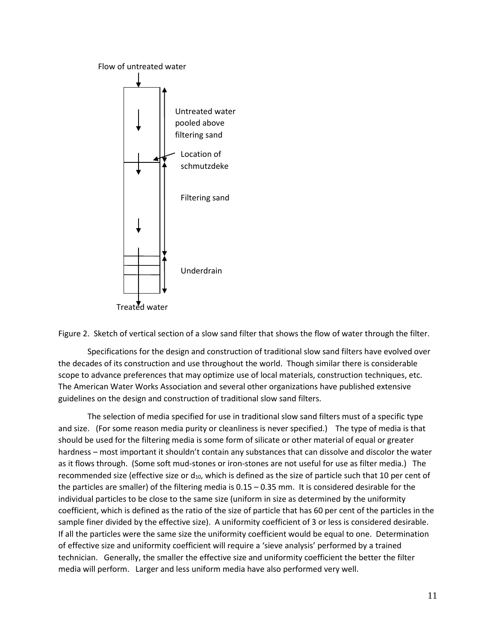



Specifications for the design and construction of traditional slow sand filters have evolved over the decades of its construction and use throughout the world. Though similar there is considerable scope to advance preferences that may optimize use of local materials, construction techniques, etc. The American Water Works Association and several other organizations have published extensive guidelines on the design and construction of traditional slow sand filters.

The selection of media specified for use in traditional slow sand filters must of a specific type and size. (For some reason media purity or cleanliness is never specified.) The type of media is that should be used for the filtering media is some form of silicate or other material of equal or greater hardness – most important it shouldn't contain any substances that can dissolve and discolor the water as it flows through. (Some soft mud-stones or iron-stones are not useful for use as filter media.) The recommended size (effective size or  $d_{10}$ , which is defined as the size of particle such that 10 per cent of the particles are smaller) of the filtering media is 0.15 – 0.35 mm. It is considered desirable for the individual particles to be close to the same size (uniform in size as determined by the uniformity coefficient, which is defined as the ratio of the size of particle that has 60 per cent of the particles in the sample finer divided by the effective size). A uniformity coefficient of 3 or less is considered desirable. If all the particles were the same size the uniformity coefficient would be equal to one. Determination of effective size and uniformity coefficient will require a 'sieve analysis' performed by a trained technician. Generally, the smaller the effective size and uniformity coefficient the better the filter media will perform. Larger and less uniform media have also performed very well.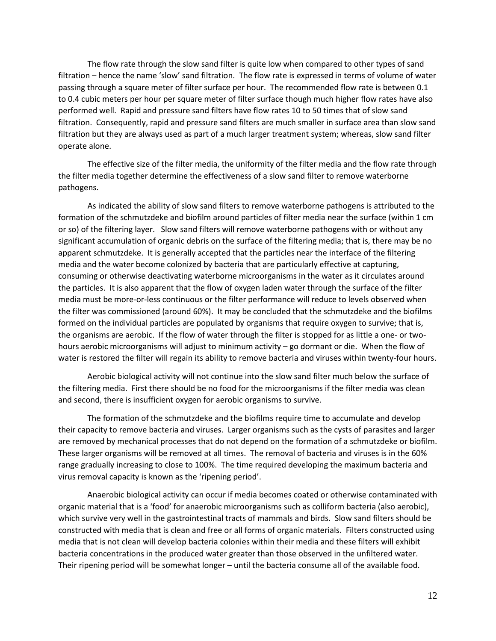The flow rate through the slow sand filter is quite low when compared to other types of sand filtration – hence the name 'slow' sand filtration. The flow rate is expressed in terms of volume of water passing through a square meter of filter surface per hour. The recommended flow rate is between 0.1 to 0.4 cubic meters per hour per square meter of filter surface though much higher flow rates have also performed well. Rapid and pressure sand filters have flow rates 10 to 50 times that of slow sand filtration. Consequently, rapid and pressure sand filters are much smaller in surface area than slow sand filtration but they are always used as part of a much larger treatment system; whereas, slow sand filter operate alone.

The effective size of the filter media, the uniformity of the filter media and the flow rate through the filter media together determine the effectiveness of a slow sand filter to remove waterborne pathogens.

As indicated the ability of slow sand filters to remove waterborne pathogens is attributed to the formation of the schmutzdeke and biofilm around particles of filter media near the surface (within 1 cm or so) of the filtering layer. Slow sand filters will remove waterborne pathogens with or without any significant accumulation of organic debris on the surface of the filtering media; that is, there may be no apparent schmutzdeke. It is generally accepted that the particles near the interface of the filtering media and the water become colonized by bacteria that are particularly effective at capturing, consuming or otherwise deactivating waterborne microorganisms in the water as it circulates around the particles. It is also apparent that the flow of oxygen laden water through the surface of the filter media must be more-or-less continuous or the filter performance will reduce to levels observed when the filter was commissioned (around 60%). It may be concluded that the schmutzdeke and the biofilms formed on the individual particles are populated by organisms that require oxygen to survive; that is, the organisms are aerobic. If the flow of water through the filter is stopped for as little a one- or twohours aerobic microorganisms will adjust to minimum activity – go dormant or die. When the flow of water is restored the filter will regain its ability to remove bacteria and viruses within twenty-four hours.

Aerobic biological activity will not continue into the slow sand filter much below the surface of the filtering media. First there should be no food for the microorganisms if the filter media was clean and second, there is insufficient oxygen for aerobic organisms to survive.

The formation of the schmutzdeke and the biofilms require time to accumulate and develop their capacity to remove bacteria and viruses. Larger organisms such as the cysts of parasites and larger are removed by mechanical processes that do not depend on the formation of a schmutzdeke or biofilm. These larger organisms will be removed at all times. The removal of bacteria and viruses is in the 60% range gradually increasing to close to 100%. The time required developing the maximum bacteria and virus removal capacity is known as the 'ripening period'.

Anaerobic biological activity can occur if media becomes coated or otherwise contaminated with organic material that is a 'food' for anaerobic microorganisms such as colliform bacteria (also aerobic), which survive very well in the gastrointestinal tracts of mammals and birds. Slow sand filters should be constructed with media that is clean and free or all forms of organic materials. Filters constructed using media that is not clean will develop bacteria colonies within their media and these filters will exhibit bacteria concentrations in the produced water greater than those observed in the unfiltered water. Their ripening period will be somewhat longer – until the bacteria consume all of the available food.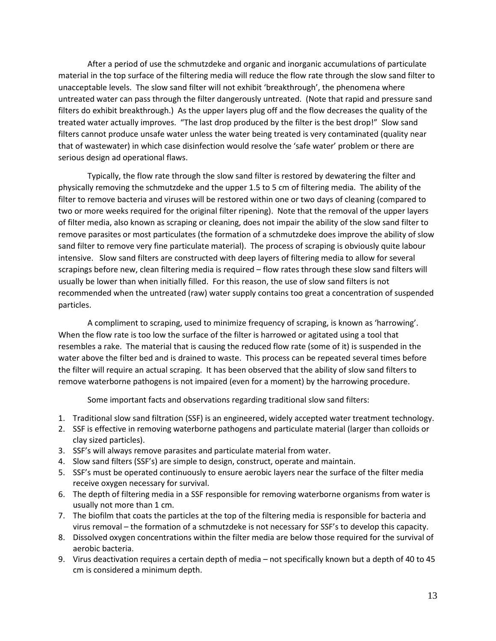After a period of use the schmutzdeke and organic and inorganic accumulations of particulate material in the top surface of the filtering media will reduce the flow rate through the slow sand filter to unacceptable levels. The slow sand filter will not exhibit 'breakthrough', the phenomena where untreated water can pass through the filter dangerously untreated. (Note that rapid and pressure sand filters do exhibit breakthrough.) As the upper layers plug off and the flow decreases the quality of the treated water actually improves. "The last drop produced by the filter is the best drop!" Slow sand filters cannot produce unsafe water unless the water being treated is very contaminated (quality near that of wastewater) in which case disinfection would resolve the 'safe water' problem or there are serious design ad operational flaws.

Typically, the flow rate through the slow sand filter is restored by dewatering the filter and physically removing the schmutzdeke and the upper 1.5 to 5 cm of filtering media. The ability of the filter to remove bacteria and viruses will be restored within one or two days of cleaning (compared to two or more weeks required for the original filter ripening). Note that the removal of the upper layers of filter media, also known as scraping or cleaning, does not impair the ability of the slow sand filter to remove parasites or most particulates (the formation of a schmutzdeke does improve the ability of slow sand filter to remove very fine particulate material). The process of scraping is obviously quite labour intensive. Slow sand filters are constructed with deep layers of filtering media to allow for several scrapings before new, clean filtering media is required – flow rates through these slow sand filters will usually be lower than when initially filled. For this reason, the use of slow sand filters is not recommended when the untreated (raw) water supply contains too great a concentration of suspended particles.

A compliment to scraping, used to minimize frequency of scraping, is known as 'harrowing'. When the flow rate is too low the surface of the filter is harrowed or agitated using a tool that resembles a rake. The material that is causing the reduced flow rate (some of it) is suspended in the water above the filter bed and is drained to waste. This process can be repeated several times before the filter will require an actual scraping. It has been observed that the ability of slow sand filters to remove waterborne pathogens is not impaired (even for a moment) by the harrowing procedure.

Some important facts and observations regarding traditional slow sand filters:

- 1. Traditional slow sand filtration (SSF) is an engineered, widely accepted water treatment technology.
- 2. SSF is effective in removing waterborne pathogens and particulate material (larger than colloids or clay sized particles).
- 3. SSF's will always remove parasites and particulate material from water.
- 4. Slow sand filters (SSF's) are simple to design, construct, operate and maintain.
- 5. SSF's must be operated continuously to ensure aerobic layers near the surface of the filter media receive oxygen necessary for survival.
- 6. The depth of filtering media in a SSF responsible for removing waterborne organisms from water is usually not more than 1 cm.
- 7. The biofilm that coats the particles at the top of the filtering media is responsible for bacteria and virus removal – the formation of a schmutzdeke is not necessary for SSF's to develop this capacity.
- 8. Dissolved oxygen concentrations within the filter media are below those required for the survival of aerobic bacteria.
- 9. Virus deactivation requires a certain depth of media not specifically known but a depth of 40 to 45 cm is considered a minimum depth.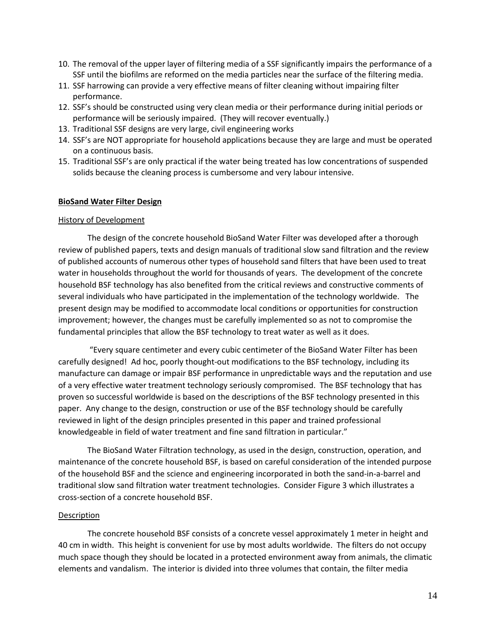- 10. The removal of the upper layer of filtering media of a SSF significantly impairs the performance of a SSF until the biofilms are reformed on the media particles near the surface of the filtering media.
- 11. SSF harrowing can provide a very effective means of filter cleaning without impairing filter performance.
- 12. SSF's should be constructed using very clean media or their performance during initial periods or performance will be seriously impaired. (They will recover eventually.)
- 13. Traditional SSF designs are very large, civil engineering works
- 14. SSF's are NOT appropriate for household applications because they are large and must be operated on a continuous basis.
- 15. Traditional SSF's are only practical if the water being treated has low concentrations of suspended solids because the cleaning process is cumbersome and very labour intensive.

### **BioSand Water Filter Design**

#### History of Development

The design of the concrete household BioSand Water Filter was developed after a thorough review of published papers, texts and design manuals of traditional slow sand filtration and the review of published accounts of numerous other types of household sand filters that have been used to treat water in households throughout the world for thousands of years. The development of the concrete household BSF technology has also benefited from the critical reviews and constructive comments of several individuals who have participated in the implementation of the technology worldwide. The present design may be modified to accommodate local conditions or opportunities for construction improvement; however, the changes must be carefully implemented so as not to compromise the fundamental principles that allow the BSF technology to treat water as well as it does.

"Every square centimeter and every cubic centimeter of the BioSand Water Filter has been carefully designed! Ad hoc, poorly thought-out modifications to the BSF technology, including its manufacture can damage or impair BSF performance in unpredictable ways and the reputation and use of a very effective water treatment technology seriously compromised. The BSF technology that has proven so successful worldwide is based on the descriptions of the BSF technology presented in this paper. Any change to the design, construction or use of the BSF technology should be carefully reviewed in light of the design principles presented in this paper and trained professional knowledgeable in field of water treatment and fine sand filtration in particular."

The BioSand Water Filtration technology, as used in the design, construction, operation, and maintenance of the concrete household BSF, is based on careful consideration of the intended purpose of the household BSF and the science and engineering incorporated in both the sand-in-a-barrel and traditional slow sand filtration water treatment technologies. Consider Figure 3 which illustrates a cross-section of a concrete household BSF.

#### **Description**

The concrete household BSF consists of a concrete vessel approximately 1 meter in height and 40 cm in width. This height is convenient for use by most adults worldwide. The filters do not occupy much space though they should be located in a protected environment away from animals, the climatic elements and vandalism. The interior is divided into three volumes that contain, the filter media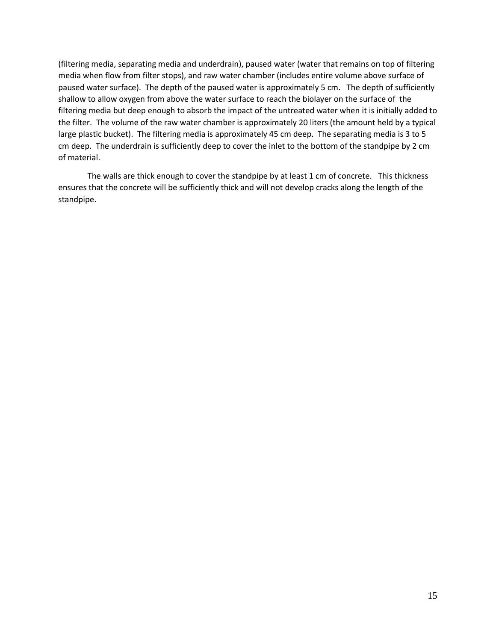(filtering media, separating media and underdrain), paused water (water that remains on top of filtering media when flow from filter stops), and raw water chamber (includes entire volume above surface of paused water surface). The depth of the paused water is approximately 5 cm. The depth of sufficiently shallow to allow oxygen from above the water surface to reach the biolayer on the surface of the filtering media but deep enough to absorb the impact of the untreated water when it is initially added to the filter. The volume of the raw water chamber is approximately 20 liters (the amount held by a typical large plastic bucket). The filtering media is approximately 45 cm deep. The separating media is 3 to 5 cm deep. The underdrain is sufficiently deep to cover the inlet to the bottom of the standpipe by 2 cm of material.

The walls are thick enough to cover the standpipe by at least 1 cm of concrete. This thickness ensures that the concrete will be sufficiently thick and will not develop cracks along the length of the standpipe.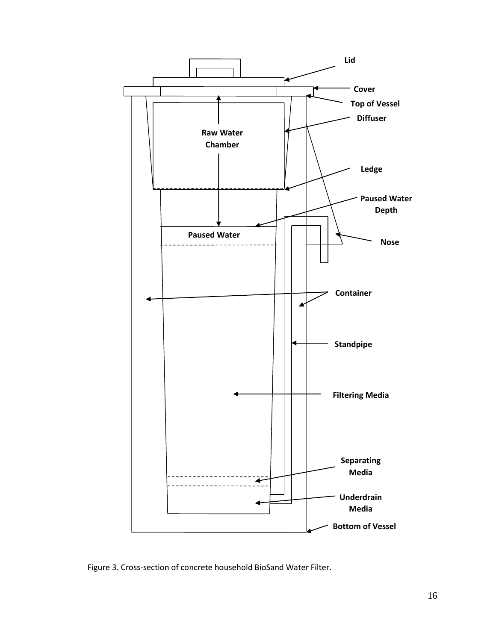

Figure 3. Cross-section of concrete household BioSand Water Filter.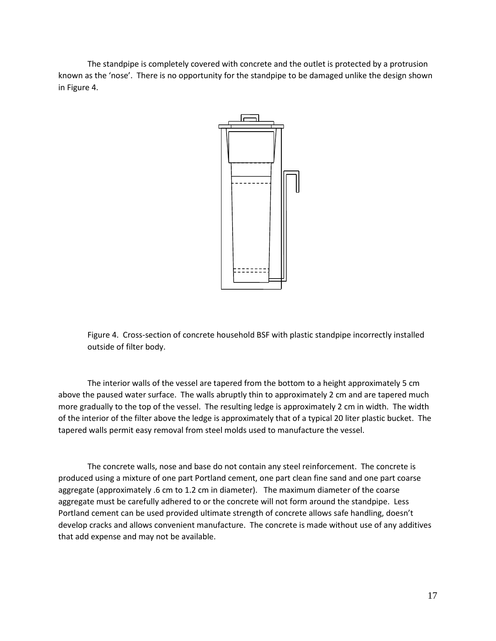The standpipe is completely covered with concrete and the outlet is protected by a protrusion known as the 'nose'. There is no opportunity for the standpipe to be damaged unlike the design shown in Figure 4.



Figure 4. Cross-section of concrete household BSF with plastic standpipe incorrectly installed outside of filter body.

The interior walls of the vessel are tapered from the bottom to a height approximately 5 cm above the paused water surface. The walls abruptly thin to approximately 2 cm and are tapered much more gradually to the top of the vessel. The resulting ledge is approximately 2 cm in width. The width of the interior of the filter above the ledge is approximately that of a typical 20 liter plastic bucket. The tapered walls permit easy removal from steel molds used to manufacture the vessel.

The concrete walls, nose and base do not contain any steel reinforcement. The concrete is produced using a mixture of one part Portland cement, one part clean fine sand and one part coarse aggregate (approximately .6 cm to 1.2 cm in diameter). The maximum diameter of the coarse aggregate must be carefully adhered to or the concrete will not form around the standpipe. Less Portland cement can be used provided ultimate strength of concrete allows safe handling, doesn't develop cracks and allows convenient manufacture. The concrete is made without use of any additives that add expense and may not be available.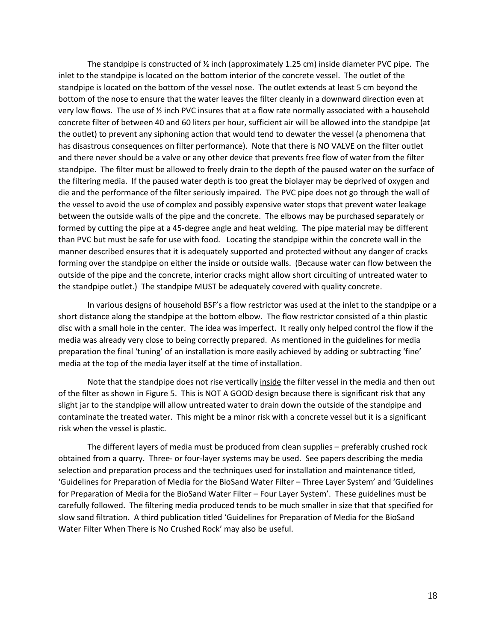The standpipe is constructed of  $\frac{1}{2}$  inch (approximately 1.25 cm) inside diameter PVC pipe. The inlet to the standpipe is located on the bottom interior of the concrete vessel. The outlet of the standpipe is located on the bottom of the vessel nose. The outlet extends at least 5 cm beyond the bottom of the nose to ensure that the water leaves the filter cleanly in a downward direction even at very low flows. The use of ½ inch PVC insures that at a flow rate normally associated with a household concrete filter of between 40 and 60 liters per hour, sufficient air will be allowed into the standpipe (at the outlet) to prevent any siphoning action that would tend to dewater the vessel (a phenomena that has disastrous consequences on filter performance). Note that there is NO VALVE on the filter outlet and there never should be a valve or any other device that prevents free flow of water from the filter standpipe. The filter must be allowed to freely drain to the depth of the paused water on the surface of the filtering media. If the paused water depth is too great the biolayer may be deprived of oxygen and die and the performance of the filter seriously impaired. The PVC pipe does not go through the wall of the vessel to avoid the use of complex and possibly expensive water stops that prevent water leakage between the outside walls of the pipe and the concrete. The elbows may be purchased separately or formed by cutting the pipe at a 45-degree angle and heat welding. The pipe material may be different than PVC but must be safe for use with food. Locating the standpipe within the concrete wall in the manner described ensures that it is adequately supported and protected without any danger of cracks forming over the standpipe on either the inside or outside walls. (Because water can flow between the outside of the pipe and the concrete, interior cracks might allow short circuiting of untreated water to the standpipe outlet.) The standpipe MUST be adequately covered with quality concrete.

In various designs of household BSF's a flow restrictor was used at the inlet to the standpipe or a short distance along the standpipe at the bottom elbow. The flow restrictor consisted of a thin plastic disc with a small hole in the center. The idea was imperfect. It really only helped control the flow if the media was already very close to being correctly prepared. As mentioned in the guidelines for media preparation the final 'tuning' of an installation is more easily achieved by adding or subtracting 'fine' media at the top of the media layer itself at the time of installation.

Note that the standpipe does not rise vertically inside the filter vessel in the media and then out of the filter as shown in Figure 5. This is NOT A GOOD design because there is significant risk that any slight jar to the standpipe will allow untreated water to drain down the outside of the standpipe and contaminate the treated water. This might be a minor risk with a concrete vessel but it is a significant risk when the vessel is plastic.

The different layers of media must be produced from clean supplies – preferably crushed rock obtained from a quarry. Three- or four-layer systems may be used. See papers describing the media selection and preparation process and the techniques used for installation and maintenance titled, 'Guidelines for Preparation of Media for the BioSand Water Filter – Three Layer System' and 'Guidelines for Preparation of Media for the BioSand Water Filter – Four Layer System'. These guidelines must be carefully followed. The filtering media produced tends to be much smaller in size that that specified for slow sand filtration. A third publication titled 'Guidelines for Preparation of Media for the BioSand Water Filter When There is No Crushed Rock' may also be useful.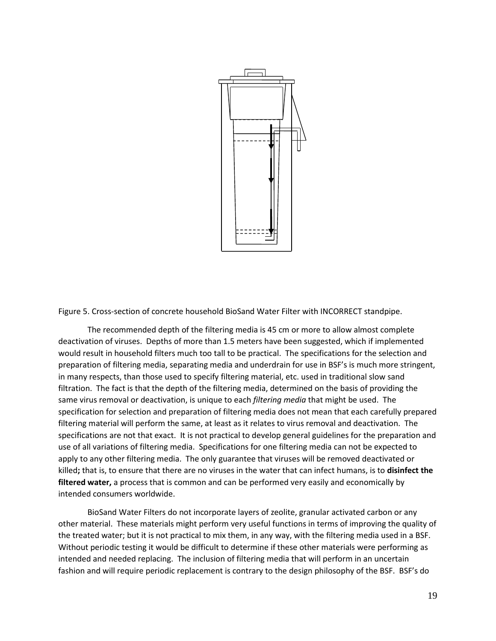

Figure 5. Cross-section of concrete household BioSand Water Filter with INCORRECT standpipe.

The recommended depth of the filtering media is 45 cm or more to allow almost complete deactivation of viruses. Depths of more than 1.5 meters have been suggested, which if implemented would result in household filters much too tall to be practical. The specifications for the selection and preparation of filtering media, separating media and underdrain for use in BSF's is much more stringent, in many respects, than those used to specify filtering material, etc. used in traditional slow sand filtration. The fact is that the depth of the filtering media, determined on the basis of providing the same virus removal or deactivation, is unique to each *filtering media* that might be used. The specification for selection and preparation of filtering media does not mean that each carefully prepared filtering material will perform the same, at least as it relates to virus removal and deactivation. The specifications are not that exact. It is not practical to develop general guidelines for the preparation and use of all variations of filtering media. Specifications for one filtering media can not be expected to apply to any other filtering media. The only guarantee that viruses will be removed deactivated or killed**;** that is, to ensure that there are no viruses in the water that can infect humans, is to **disinfect the filtered water,** a process that is common and can be performed very easily and economically by intended consumers worldwide.

BioSand Water Filters do not incorporate layers of zeolite, granular activated carbon or any other material. These materials might perform very useful functions in terms of improving the quality of the treated water; but it is not practical to mix them, in any way, with the filtering media used in a BSF. Without periodic testing it would be difficult to determine if these other materials were performing as intended and needed replacing. The inclusion of filtering media that will perform in an uncertain fashion and will require periodic replacement is contrary to the design philosophy of the BSF. BSF's do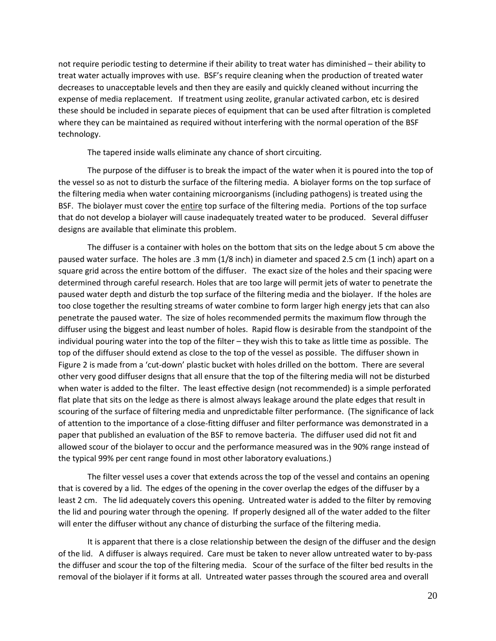not require periodic testing to determine if their ability to treat water has diminished – their ability to treat water actually improves with use. BSF's require cleaning when the production of treated water decreases to unacceptable levels and then they are easily and quickly cleaned without incurring the expense of media replacement. If treatment using zeolite, granular activated carbon, etc is desired these should be included in separate pieces of equipment that can be used after filtration is completed where they can be maintained as required without interfering with the normal operation of the BSF technology.

The tapered inside walls eliminate any chance of short circuiting.

The purpose of the diffuser is to break the impact of the water when it is poured into the top of the vessel so as not to disturb the surface of the filtering media. A biolayer forms on the top surface of the filtering media when water containing microorganisms (including pathogens) is treated using the BSF. The biolayer must cover the entire top surface of the filtering media. Portions of the top surface that do not develop a biolayer will cause inadequately treated water to be produced. Several diffuser designs are available that eliminate this problem.

The diffuser is a container with holes on the bottom that sits on the ledge about 5 cm above the paused water surface. The holes are .3 mm (1/8 inch) in diameter and spaced 2.5 cm (1 inch) apart on a square grid across the entire bottom of the diffuser. The exact size of the holes and their spacing were determined through careful research. Holes that are too large will permit jets of water to penetrate the paused water depth and disturb the top surface of the filtering media and the biolayer. If the holes are too close together the resulting streams of water combine to form larger high energy jets that can also penetrate the paused water. The size of holes recommended permits the maximum flow through the diffuser using the biggest and least number of holes. Rapid flow is desirable from the standpoint of the individual pouring water into the top of the filter – they wish this to take as little time as possible. The top of the diffuser should extend as close to the top of the vessel as possible. The diffuser shown in Figure 2 is made from a 'cut-down' plastic bucket with holes drilled on the bottom. There are several other very good diffuser designs that all ensure that the top of the filtering media will not be disturbed when water is added to the filter. The least effective design (not recommended) is a simple perforated flat plate that sits on the ledge as there is almost always leakage around the plate edges that result in scouring of the surface of filtering media and unpredictable filter performance. (The significance of lack of attention to the importance of a close-fitting diffuser and filter performance was demonstrated in a paper that published an evaluation of the BSF to remove bacteria. The diffuser used did not fit and allowed scour of the biolayer to occur and the performance measured was in the 90% range instead of the typical 99% per cent range found in most other laboratory evaluations.)

The filter vessel uses a cover that extends across the top of the vessel and contains an opening that is covered by a lid. The edges of the opening in the cover overlap the edges of the diffuser by a least 2 cm. The lid adequately covers this opening. Untreated water is added to the filter by removing the lid and pouring water through the opening. If properly designed all of the water added to the filter will enter the diffuser without any chance of disturbing the surface of the filtering media.

It is apparent that there is a close relationship between the design of the diffuser and the design of the lid. A diffuser is always required. Care must be taken to never allow untreated water to by-pass the diffuser and scour the top of the filtering media. Scour of the surface of the filter bed results in the removal of the biolayer if it forms at all. Untreated water passes through the scoured area and overall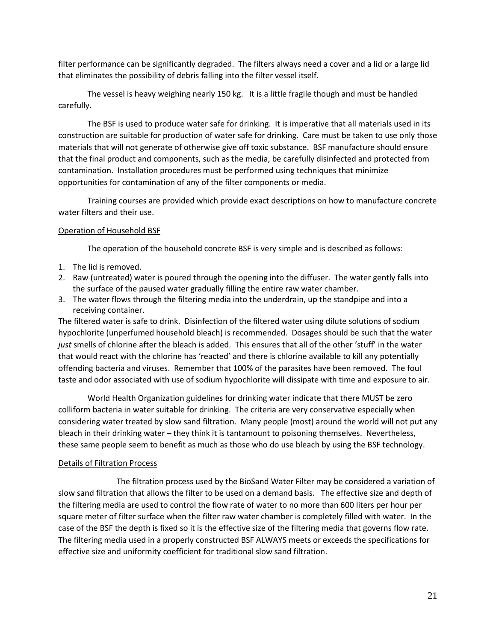filter performance can be significantly degraded. The filters always need a cover and a lid or a large lid that eliminates the possibility of debris falling into the filter vessel itself.

The vessel is heavy weighing nearly 150 kg. It is a little fragile though and must be handled carefully.

The BSF is used to produce water safe for drinking. It is imperative that all materials used in its construction are suitable for production of water safe for drinking. Care must be taken to use only those materials that will not generate of otherwise give off toxic substance. BSF manufacture should ensure that the final product and components, such as the media, be carefully disinfected and protected from contamination. Installation procedures must be performed using techniques that minimize opportunities for contamination of any of the filter components or media.

Training courses are provided which provide exact descriptions on how to manufacture concrete water filters and their use.

# Operation of Household BSF

The operation of the household concrete BSF is very simple and is described as follows:

- 1. The lid is removed.
- 2. Raw (untreated) water is poured through the opening into the diffuser. The water gently falls into the surface of the paused water gradually filling the entire raw water chamber.
- 3. The water flows through the filtering media into the underdrain, up the standpipe and into a receiving container.

The filtered water is safe to drink. Disinfection of the filtered water using dilute solutions of sodium hypochlorite (unperfumed household bleach) is recommended. Dosages should be such that the water *just* smells of chlorine after the bleach is added. This ensures that all of the other 'stuff' in the water that would react with the chlorine has 'reacted' and there is chlorine available to kill any potentially offending bacteria and viruses. Remember that 100% of the parasites have been removed. The foul taste and odor associated with use of sodium hypochlorite will dissipate with time and exposure to air.

World Health Organization guidelines for drinking water indicate that there MUST be zero colliform bacteria in water suitable for drinking. The criteria are very conservative especially when considering water treated by slow sand filtration. Many people (most) around the world will not put any bleach in their drinking water – they think it is tantamount to poisoning themselves. Nevertheless, these same people seem to benefit as much as those who do use bleach by using the BSF technology.

# Details of Filtration Process

The filtration process used by the BioSand Water Filter may be considered a variation of slow sand filtration that allows the filter to be used on a demand basis. The effective size and depth of the filtering media are used to control the flow rate of water to no more than 600 liters per hour per square meter of filter surface when the filter raw water chamber is completely filled with water. In the case of the BSF the depth is fixed so it is the effective size of the filtering media that governs flow rate. The filtering media used in a properly constructed BSF ALWAYS meets or exceeds the specifications for effective size and uniformity coefficient for traditional slow sand filtration.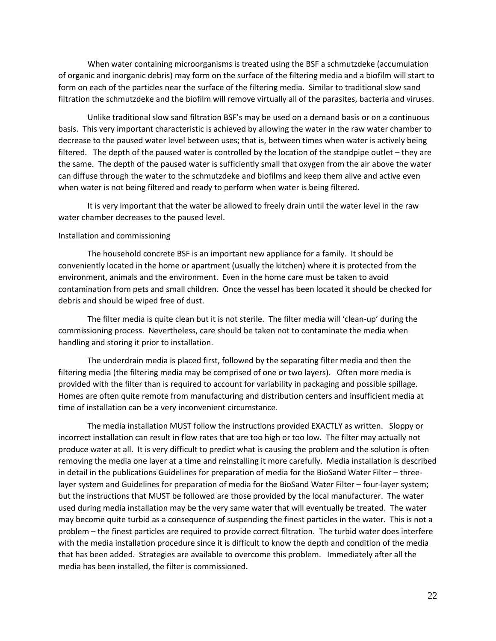When water containing microorganisms is treated using the BSF a schmutzdeke (accumulation of organic and inorganic debris) may form on the surface of the filtering media and a biofilm will start to form on each of the particles near the surface of the filtering media. Similar to traditional slow sand filtration the schmutzdeke and the biofilm will remove virtually all of the parasites, bacteria and viruses.

Unlike traditional slow sand filtration BSF's may be used on a demand basis or on a continuous basis. This very important characteristic is achieved by allowing the water in the raw water chamber to decrease to the paused water level between uses; that is, between times when water is actively being filtered. The depth of the paused water is controlled by the location of the standpipe outlet – they are the same. The depth of the paused water is sufficiently small that oxygen from the air above the water can diffuse through the water to the schmutzdeke and biofilms and keep them alive and active even when water is not being filtered and ready to perform when water is being filtered.

It is very important that the water be allowed to freely drain until the water level in the raw water chamber decreases to the paused level.

#### Installation and commissioning

The household concrete BSF is an important new appliance for a family. It should be conveniently located in the home or apartment (usually the kitchen) where it is protected from the environment, animals and the environment. Even in the home care must be taken to avoid contamination from pets and small children. Once the vessel has been located it should be checked for debris and should be wiped free of dust.

The filter media is quite clean but it is not sterile. The filter media will 'clean-up' during the commissioning process. Nevertheless, care should be taken not to contaminate the media when handling and storing it prior to installation.

The underdrain media is placed first, followed by the separating filter media and then the filtering media (the filtering media may be comprised of one or two layers). Often more media is provided with the filter than is required to account for variability in packaging and possible spillage. Homes are often quite remote from manufacturing and distribution centers and insufficient media at time of installation can be a very inconvenient circumstance.

The media installation MUST follow the instructions provided EXACTLY as written. Sloppy or incorrect installation can result in flow rates that are too high or too low. The filter may actually not produce water at all. It is very difficult to predict what is causing the problem and the solution is often removing the media one layer at a time and reinstalling it more carefully. Media installation is described in detail in the publications Guidelines for preparation of media for the BioSand Water Filter – threelayer system and Guidelines for preparation of media for the BioSand Water Filter – four-layer system; but the instructions that MUST be followed are those provided by the local manufacturer. The water used during media installation may be the very same water that will eventually be treated. The water may become quite turbid as a consequence of suspending the finest particles in the water. This is not a problem – the finest particles are required to provide correct filtration. The turbid water does interfere with the media installation procedure since it is difficult to know the depth and condition of the media that has been added. Strategies are available to overcome this problem. Immediately after all the media has been installed, the filter is commissioned.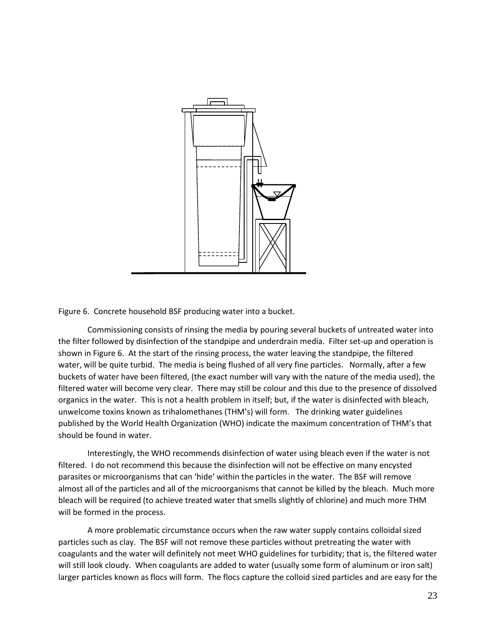

Figure 6. Concrete household BSF producing water into a bucket.

Commissioning consists of rinsing the media by pouring several buckets of untreated water into the filter followed by disinfection of the standpipe and underdrain media. Filter set-up and operation is shown in Figure 6. At the start of the rinsing process, the water leaving the standpipe, the filtered water, will be quite turbid. The media is being flushed of all very fine particles. Normally, after a few buckets of water have been filtered, (the exact number will vary with the nature of the media used), the filtered water will become very clear. There may still be colour and this due to the presence of dissolved organics in the water. This is not a health problem in itself; but, if the water is disinfected with bleach, unwelcome toxins known as trihalomethanes (THM's) will form. The drinking water guidelines published by the World Health Organization (WHO) indicate the maximum concentration of THM's that should be found in water.

Interestingly, the WHO recommends disinfection of water using bleach even if the water is not filtered. I do not recommend this because the disinfection will not be effective on many encysted parasites or microorganisms that can 'hide' within the particles in the water. The BSF will remove almost all of the particles and all of the microorganisms that cannot be killed by the bleach. Much more bleach will be required (to achieve treated water that smells slightly of chlorine) and much more THM will be formed in the process.

A more problematic circumstance occurs when the raw water supply contains colloidal sized particles such as clay. The BSF will not remove these particles without pretreating the water with coagulants and the water will definitely not meet WHO guidelines for turbidity; that is, the filtered water will still look cloudy. When coagulants are added to water (usually some form of aluminum or iron salt) larger particles known as flocs will form. The flocs capture the colloid sized particles and are easy for the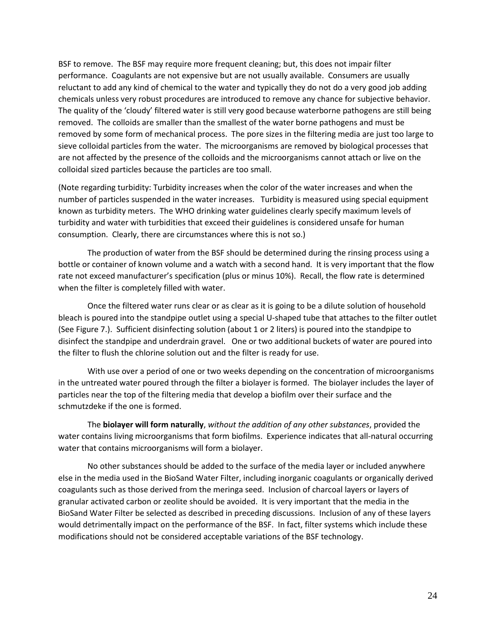BSF to remove. The BSF may require more frequent cleaning; but, this does not impair filter performance. Coagulants are not expensive but are not usually available. Consumers are usually reluctant to add any kind of chemical to the water and typically they do not do a very good job adding chemicals unless very robust procedures are introduced to remove any chance for subjective behavior. The quality of the 'cloudy' filtered water is still very good because waterborne pathogens are still being removed. The colloids are smaller than the smallest of the water borne pathogens and must be removed by some form of mechanical process. The pore sizes in the filtering media are just too large to sieve colloidal particles from the water. The microorganisms are removed by biological processes that are not affected by the presence of the colloids and the microorganisms cannot attach or live on the colloidal sized particles because the particles are too small.

(Note regarding turbidity: Turbidity increases when the color of the water increases and when the number of particles suspended in the water increases. Turbidity is measured using special equipment known as turbidity meters. The WHO drinking water guidelines clearly specify maximum levels of turbidity and water with turbidities that exceed their guidelines is considered unsafe for human consumption. Clearly, there are circumstances where this is not so.)

The production of water from the BSF should be determined during the rinsing process using a bottle or container of known volume and a watch with a second hand. It is very important that the flow rate not exceed manufacturer's specification (plus or minus 10%). Recall, the flow rate is determined when the filter is completely filled with water.

Once the filtered water runs clear or as clear as it is going to be a dilute solution of household bleach is poured into the standpipe outlet using a special U-shaped tube that attaches to the filter outlet (See Figure 7.). Sufficient disinfecting solution (about 1 or 2 liters) is poured into the standpipe to disinfect the standpipe and underdrain gravel. One or two additional buckets of water are poured into the filter to flush the chlorine solution out and the filter is ready for use.

With use over a period of one or two weeks depending on the concentration of microorganisms in the untreated water poured through the filter a biolayer is formed. The biolayer includes the layer of particles near the top of the filtering media that develop a biofilm over their surface and the schmutzdeke if the one is formed.

The **biolayer will form naturally**, *without the addition of any other substances*, provided the water contains living microorganisms that form biofilms. Experience indicates that all-natural occurring water that contains microorganisms will form a biolayer.

No other substances should be added to the surface of the media layer or included anywhere else in the media used in the BioSand Water Filter, including inorganic coagulants or organically derived coagulants such as those derived from the meringa seed. Inclusion of charcoal layers or layers of granular activated carbon or zeolite should be avoided. It is very important that the media in the BioSand Water Filter be selected as described in preceding discussions. Inclusion of any of these layers would detrimentally impact on the performance of the BSF. In fact, filter systems which include these modifications should not be considered acceptable variations of the BSF technology.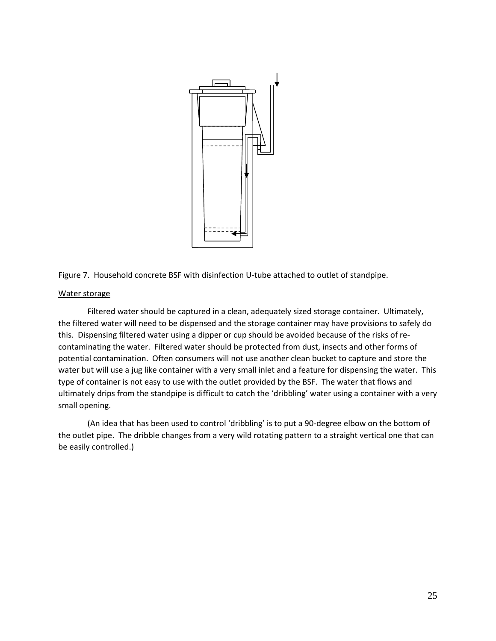

Figure 7. Household concrete BSF with disinfection U-tube attached to outlet of standpipe.

### Water storage

Filtered water should be captured in a clean, adequately sized storage container. Ultimately, the filtered water will need to be dispensed and the storage container may have provisions to safely do this. Dispensing filtered water using a dipper or cup should be avoided because of the risks of recontaminating the water. Filtered water should be protected from dust, insects and other forms of potential contamination. Often consumers will not use another clean bucket to capture and store the water but will use a jug like container with a very small inlet and a feature for dispensing the water. This type of container is not easy to use with the outlet provided by the BSF. The water that flows and ultimately drips from the standpipe is difficult to catch the 'dribbling' water using a container with a very small opening.

(An idea that has been used to control 'dribbling' is to put a 90-degree elbow on the bottom of the outlet pipe. The dribble changes from a very wild rotating pattern to a straight vertical one that can be easily controlled.)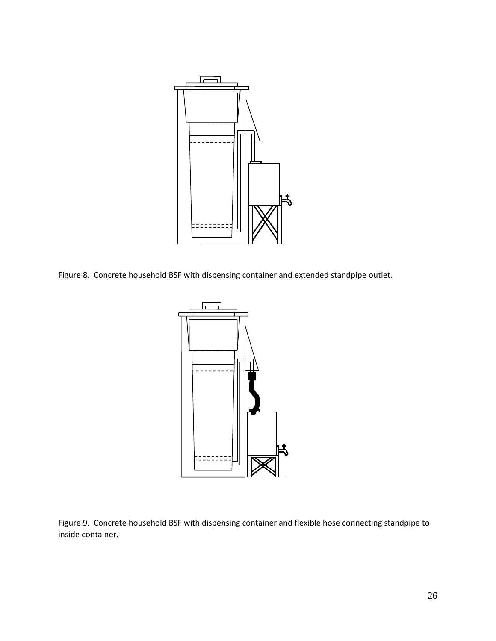

Figure 8. Concrete household BSF with dispensing container and extended standpipe outlet.



Figure 9. Concrete household BSF with dispensing container and flexible hose connecting standpipe to inside container.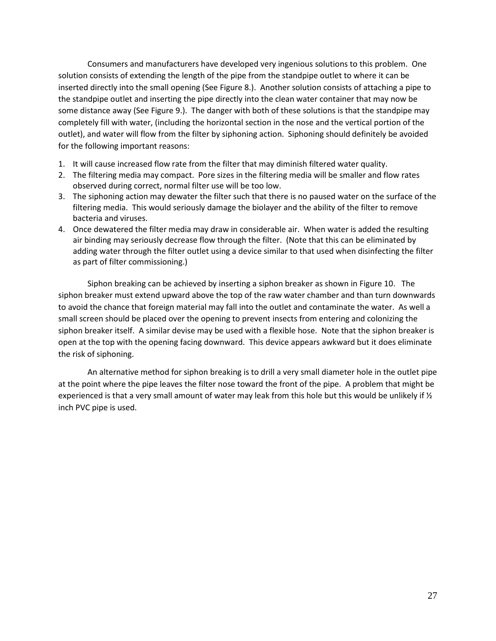Consumers and manufacturers have developed very ingenious solutions to this problem. One solution consists of extending the length of the pipe from the standpipe outlet to where it can be inserted directly into the small opening (See Figure 8.). Another solution consists of attaching a pipe to the standpipe outlet and inserting the pipe directly into the clean water container that may now be some distance away (See Figure 9.). The danger with both of these solutions is that the standpipe may completely fill with water, (including the horizontal section in the nose and the vertical portion of the outlet), and water will flow from the filter by siphoning action. Siphoning should definitely be avoided for the following important reasons:

- 1. It will cause increased flow rate from the filter that may diminish filtered water quality.
- 2. The filtering media may compact. Pore sizes in the filtering media will be smaller and flow rates observed during correct, normal filter use will be too low.
- 3. The siphoning action may dewater the filter such that there is no paused water on the surface of the filtering media. This would seriously damage the biolayer and the ability of the filter to remove bacteria and viruses.
- 4. Once dewatered the filter media may draw in considerable air. When water is added the resulting air binding may seriously decrease flow through the filter. (Note that this can be eliminated by adding water through the filter outlet using a device similar to that used when disinfecting the filter as part of filter commissioning.)

Siphon breaking can be achieved by inserting a siphon breaker as shown in Figure 10. The siphon breaker must extend upward above the top of the raw water chamber and than turn downwards to avoid the chance that foreign material may fall into the outlet and contaminate the water. As well a small screen should be placed over the opening to prevent insects from entering and colonizing the siphon breaker itself. A similar devise may be used with a flexible hose. Note that the siphon breaker is open at the top with the opening facing downward. This device appears awkward but it does eliminate the risk of siphoning.

An alternative method for siphon breaking is to drill a very small diameter hole in the outlet pipe at the point where the pipe leaves the filter nose toward the front of the pipe. A problem that might be experienced is that a very small amount of water may leak from this hole but this would be unlikely if  $\mathcal{V}_2$ inch PVC pipe is used.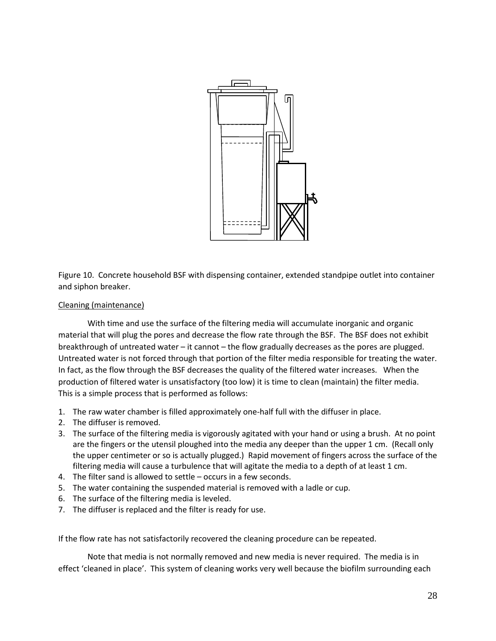

Figure 10. Concrete household BSF with dispensing container, extended standpipe outlet into container and siphon breaker.

# Cleaning (maintenance)

With time and use the surface of the filtering media will accumulate inorganic and organic material that will plug the pores and decrease the flow rate through the BSF. The BSF does not exhibit breakthrough of untreated water – it cannot – the flow gradually decreases as the pores are plugged. Untreated water is not forced through that portion of the filter media responsible for treating the water. In fact, as the flow through the BSF decreases the quality of the filtered water increases. When the production of filtered water is unsatisfactory (too low) it is time to clean (maintain) the filter media. This is a simple process that is performed as follows:

- 1. The raw water chamber is filled approximately one-half full with the diffuser in place.
- 2. The diffuser is removed.
- 3. The surface of the filtering media is vigorously agitated with your hand or using a brush. At no point are the fingers or the utensil ploughed into the media any deeper than the upper 1 cm. (Recall only the upper centimeter or so is actually plugged.) Rapid movement of fingers across the surface of the filtering media will cause a turbulence that will agitate the media to a depth of at least 1 cm.
- 4. The filter sand is allowed to settle occurs in a few seconds.
- 5. The water containing the suspended material is removed with a ladle or cup.
- 6. The surface of the filtering media is leveled.
- 7. The diffuser is replaced and the filter is ready for use.

If the flow rate has not satisfactorily recovered the cleaning procedure can be repeated.

Note that media is not normally removed and new media is never required. The media is in effect 'cleaned in place'. This system of cleaning works very well because the biofilm surrounding each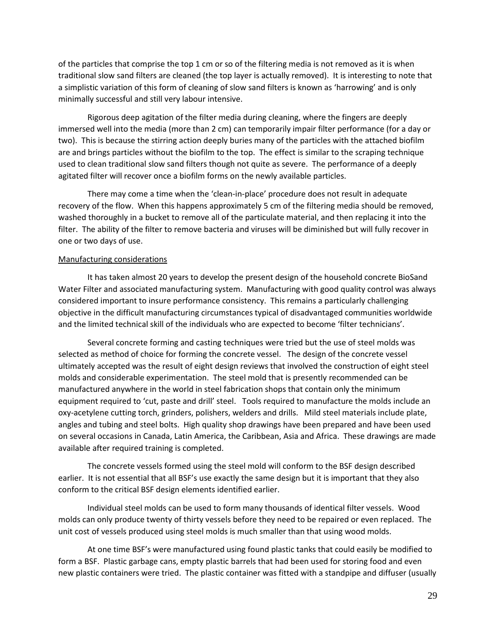of the particles that comprise the top 1 cm or so of the filtering media is not removed as it is when traditional slow sand filters are cleaned (the top layer is actually removed). It is interesting to note that a simplistic variation of this form of cleaning of slow sand filters is known as 'harrowing' and is only minimally successful and still very labour intensive.

Rigorous deep agitation of the filter media during cleaning, where the fingers are deeply immersed well into the media (more than 2 cm) can temporarily impair filter performance (for a day or two). This is because the stirring action deeply buries many of the particles with the attached biofilm are and brings particles without the biofilm to the top. The effect is similar to the scraping technique used to clean traditional slow sand filters though not quite as severe. The performance of a deeply agitated filter will recover once a biofilm forms on the newly available particles.

There may come a time when the 'clean-in-place' procedure does not result in adequate recovery of the flow. When this happens approximately 5 cm of the filtering media should be removed, washed thoroughly in a bucket to remove all of the particulate material, and then replacing it into the filter. The ability of the filter to remove bacteria and viruses will be diminished but will fully recover in one or two days of use.

### Manufacturing considerations

It has taken almost 20 years to develop the present design of the household concrete BioSand Water Filter and associated manufacturing system. Manufacturing with good quality control was always considered important to insure performance consistency. This remains a particularly challenging objective in the difficult manufacturing circumstances typical of disadvantaged communities worldwide and the limited technical skill of the individuals who are expected to become 'filter technicians'.

Several concrete forming and casting techniques were tried but the use of steel molds was selected as method of choice for forming the concrete vessel. The design of the concrete vessel ultimately accepted was the result of eight design reviews that involved the construction of eight steel molds and considerable experimentation. The steel mold that is presently recommended can be manufactured anywhere in the world in steel fabrication shops that contain only the minimum equipment required to 'cut, paste and drill' steel. Tools required to manufacture the molds include an oxy-acetylene cutting torch, grinders, polishers, welders and drills. Mild steel materials include plate, angles and tubing and steel bolts. High quality shop drawings have been prepared and have been used on several occasions in Canada, Latin America, the Caribbean, Asia and Africa. These drawings are made available after required training is completed.

The concrete vessels formed using the steel mold will conform to the BSF design described earlier. It is not essential that all BSF's use exactly the same design but it is important that they also conform to the critical BSF design elements identified earlier.

Individual steel molds can be used to form many thousands of identical filter vessels. Wood molds can only produce twenty of thirty vessels before they need to be repaired or even replaced. The unit cost of vessels produced using steel molds is much smaller than that using wood molds.

At one time BSF's were manufactured using found plastic tanks that could easily be modified to form a BSF. Plastic garbage cans, empty plastic barrels that had been used for storing food and even new plastic containers were tried. The plastic container was fitted with a standpipe and diffuser (usually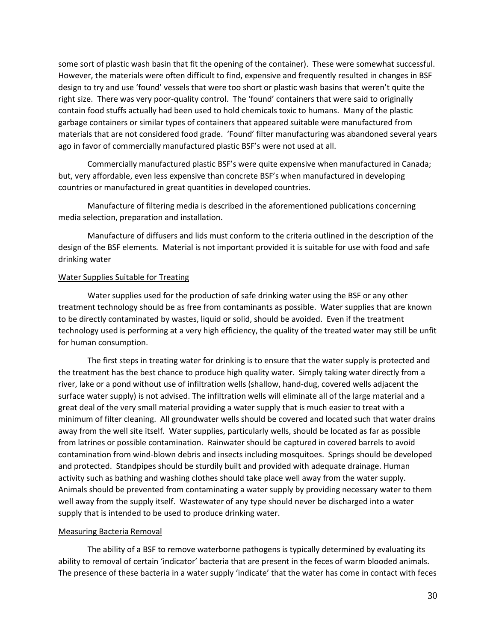some sort of plastic wash basin that fit the opening of the container). These were somewhat successful. However, the materials were often difficult to find, expensive and frequently resulted in changes in BSF design to try and use 'found' vessels that were too short or plastic wash basins that weren't quite the right size. There was very poor-quality control. The 'found' containers that were said to originally contain food stuffs actually had been used to hold chemicals toxic to humans. Many of the plastic garbage containers or similar types of containers that appeared suitable were manufactured from materials that are not considered food grade. 'Found' filter manufacturing was abandoned several years ago in favor of commercially manufactured plastic BSF's were not used at all.

Commercially manufactured plastic BSF's were quite expensive when manufactured in Canada; but, very affordable, even less expensive than concrete BSF's when manufactured in developing countries or manufactured in great quantities in developed countries.

Manufacture of filtering media is described in the aforementioned publications concerning media selection, preparation and installation.

Manufacture of diffusers and lids must conform to the criteria outlined in the description of the design of the BSF elements. Material is not important provided it is suitable for use with food and safe drinking water

## Water Supplies Suitable for Treating

Water supplies used for the production of safe drinking water using the BSF or any other treatment technology should be as free from contaminants as possible. Water supplies that are known to be directly contaminated by wastes, liquid or solid, should be avoided. Even if the treatment technology used is performing at a very high efficiency, the quality of the treated water may still be unfit for human consumption.

The first steps in treating water for drinking is to ensure that the water supply is protected and the treatment has the best chance to produce high quality water. Simply taking water directly from a river, lake or a pond without use of infiltration wells (shallow, hand-dug, covered wells adjacent the surface water supply) is not advised. The infiltration wells will eliminate all of the large material and a great deal of the very small material providing a water supply that is much easier to treat with a minimum of filter cleaning. All groundwater wells should be covered and located such that water drains away from the well site itself. Water supplies, particularly wells, should be located as far as possible from latrines or possible contamination. Rainwater should be captured in covered barrels to avoid contamination from wind-blown debris and insects including mosquitoes. Springs should be developed and protected. Standpipes should be sturdily built and provided with adequate drainage. Human activity such as bathing and washing clothes should take place well away from the water supply. Animals should be prevented from contaminating a water supply by providing necessary water to them well away from the supply itself. Wastewater of any type should never be discharged into a water supply that is intended to be used to produce drinking water.

# Measuring Bacteria Removal

The ability of a BSF to remove waterborne pathogens is typically determined by evaluating its ability to removal of certain 'indicator' bacteria that are present in the feces of warm blooded animals. The presence of these bacteria in a water supply 'indicate' that the water has come in contact with feces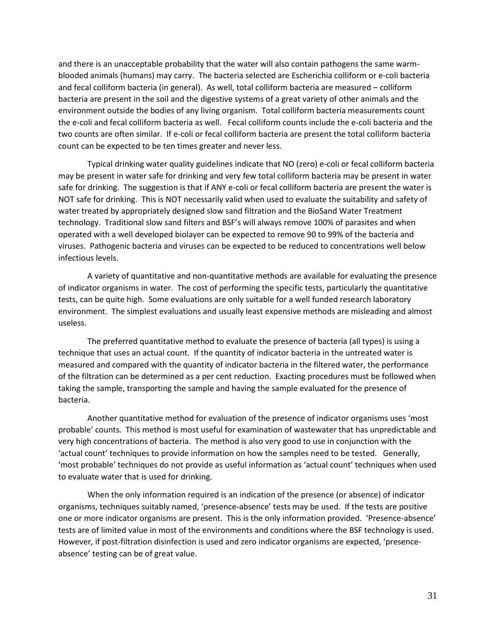and there is an unacceptable probability that the water will also contain pathogens the same warmblooded animals (humans) may carry. The bacteria selected are Escherichia colliform or e-coli bacteria and fecal colliform bacteria (in general). As well, total colliform bacteria are measured – colliform bacteria are present in the soil and the digestive systems of a great variety of other animals and the environment outside the bodies of any living organism. Total colliform bacteria measurements count the e-coli and fecal colliform bacteria as well. Fecal colliform counts include the e-coli bacteria and the two counts are often similar. If e-coli or fecal colliform bacteria are present the total colliform bacteria count can be expected to be ten times greater and never less.

Typical drinking water quality guidelines indicate that NO (zero) e-coli or fecal colliform bacteria may be present in water safe for drinking and very few total colliform bacteria may be present in water safe for drinking. The suggestion is that if ANY e-coli or fecal colliform bacteria are present the water is NOT safe for drinking. This is NOT necessarily valid when used to evaluate the suitability and safety of water treated by appropriately designed slow sand filtration and the BioSand Water Treatment technology. Traditional slow sand filters and BSF's will always remove 100% of parasites and when operated with a well developed biolayer can be expected to remove 90 to 99% of the bacteria and viruses. Pathogenic bacteria and viruses can be expected to be reduced to concentrations well below infectious levels.

A variety of quantitative and non-quantitative methods are available for evaluating the presence of indicator organisms in water. The cost of performing the specific tests, particularly the quantitative tests, can be quite high. Some evaluations are only suitable for a well funded research laboratory environment. The simplest evaluations and usually least expensive methods are misleading and almost useless.

The preferred quantitative method to evaluate the presence of bacteria (all types) is using a technique that uses an actual count. If the quantity of indicator bacteria in the untreated water is measured and compared with the quantity of indicator bacteria in the filtered water, the performance of the filtration can be determined as a per cent reduction. Exacting procedures must be followed when taking the sample, transporting the sample and having the sample evaluated for the presence of bacteria.

Another quantitative method for evaluation of the presence of indicator organisms uses 'most probable' counts. This method is most useful for examination of wastewater that has unpredictable and very high concentrations of bacteria. The method is also very good to use in conjunction with the 'actual count' techniques to provide information on how the samples need to be tested. Generally, 'most probable' techniques do not provide as useful information as 'actual count' techniques when used to evaluate water that is used for drinking.

When the only information required is an indication of the presence (or absence) of indicator organisms, techniques suitably named, 'presence-absence' tests may be used. If the tests are positive one or more indicator organisms are present. This is the only information provided. 'Presence-absence' tests are of limited value in most of the environments and conditions where the BSF technology is used. However, if post-filtration disinfection is used and zero indicator organisms are expected, 'presenceabsence' testing can be of great value.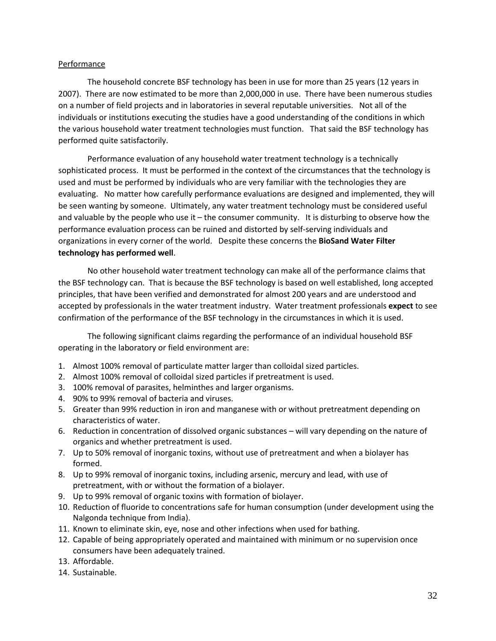# Performance

The household concrete BSF technology has been in use for more than 25 years (12 years in 2007). There are now estimated to be more than 2,000,000 in use. There have been numerous studies on a number of field projects and in laboratories in several reputable universities. Not all of the individuals or institutions executing the studies have a good understanding of the conditions in which the various household water treatment technologies must function. That said the BSF technology has performed quite satisfactorily.

Performance evaluation of any household water treatment technology is a technically sophisticated process. It must be performed in the context of the circumstances that the technology is used and must be performed by individuals who are very familiar with the technologies they are evaluating. No matter how carefully performance evaluations are designed and implemented, they will be seen wanting by someone. Ultimately, any water treatment technology must be considered useful and valuable by the people who use it – the consumer community. It is disturbing to observe how the performance evaluation process can be ruined and distorted by self-serving individuals and organizations in every corner of the world. Despite these concerns the **BioSand Water Filter technology has performed well**.

No other household water treatment technology can make all of the performance claims that the BSF technology can. That is because the BSF technology is based on well established, long accepted principles, that have been verified and demonstrated for almost 200 years and are understood and accepted by professionals in the water treatment industry. Water treatment professionals **expect** to see confirmation of the performance of the BSF technology in the circumstances in which it is used.

The following significant claims regarding the performance of an individual household BSF operating in the laboratory or field environment are:

- 1. Almost 100% removal of particulate matter larger than colloidal sized particles.
- 2. Almost 100% removal of colloidal sized particles if pretreatment is used.
- 3. 100% removal of parasites, helminthes and larger organisms.
- 4. 90% to 99% removal of bacteria and viruses.
- 5. Greater than 99% reduction in iron and manganese with or without pretreatment depending on characteristics of water.
- 6. Reduction in concentration of dissolved organic substances will vary depending on the nature of organics and whether pretreatment is used.
- 7. Up to 50% removal of inorganic toxins, without use of pretreatment and when a biolayer has formed.
- 8. Up to 99% removal of inorganic toxins, including arsenic, mercury and lead, with use of pretreatment, with or without the formation of a biolayer.
- 9. Up to 99% removal of organic toxins with formation of biolayer.
- 10. Reduction of fluoride to concentrations safe for human consumption (under development using the Nalgonda technique from India).
- 11. Known to eliminate skin, eye, nose and other infections when used for bathing.
- 12. Capable of being appropriately operated and maintained with minimum or no supervision once consumers have been adequately trained.
- 13. Affordable.
- 14. Sustainable.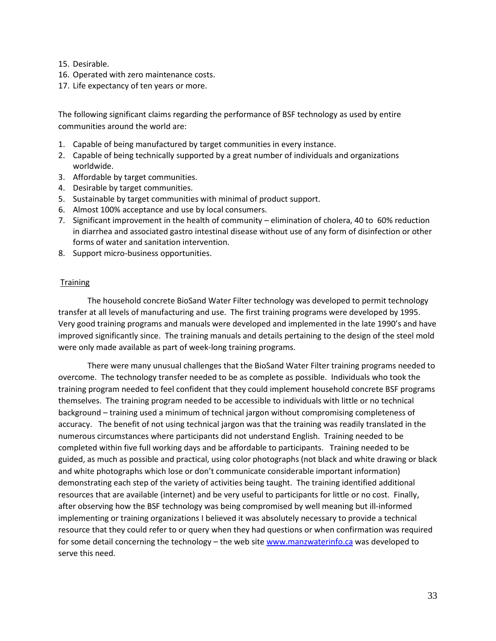- 15. Desirable.
- 16. Operated with zero maintenance costs.
- 17. Life expectancy of ten years or more.

The following significant claims regarding the performance of BSF technology as used by entire communities around the world are:

- 1. Capable of being manufactured by target communities in every instance.
- 2. Capable of being technically supported by a great number of individuals and organizations worldwide.
- 3. Affordable by target communities.
- 4. Desirable by target communities.
- 5. Sustainable by target communities with minimal of product support.
- 6. Almost 100% acceptance and use by local consumers.
- 7. Significant improvement in the health of community elimination of cholera, 40 to 60% reduction in diarrhea and associated gastro intestinal disease without use of any form of disinfection or other forms of water and sanitation intervention.
- 8. Support micro-business opportunities.

## **Training**

The household concrete BioSand Water Filter technology was developed to permit technology transfer at all levels of manufacturing and use. The first training programs were developed by 1995. Very good training programs and manuals were developed and implemented in the late 1990's and have improved significantly since. The training manuals and details pertaining to the design of the steel mold were only made available as part of week-long training programs.

There were many unusual challenges that the BioSand Water Filter training programs needed to overcome. The technology transfer needed to be as complete as possible. Individuals who took the training program needed to feel confident that they could implement household concrete BSF programs themselves. The training program needed to be accessible to individuals with little or no technical background – training used a minimum of technical jargon without compromising completeness of accuracy. The benefit of not using technical jargon was that the training was readily translated in the numerous circumstances where participants did not understand English. Training needed to be completed within five full working days and be affordable to participants. Training needed to be guided, as much as possible and practical, using color photographs (not black and white drawing or black and white photographs which lose or don't communicate considerable important information) demonstrating each step of the variety of activities being taught. The training identified additional resources that are available (internet) and be very useful to participants for little or no cost. Finally, after observing how the BSF technology was being compromised by well meaning but ill-informed implementing or training organizations I believed it was absolutely necessary to provide a technical resource that they could refer to or query when they had questions or when confirmation was required for some detail concerning the technology – the web site [www.manzwaterinfo.ca](http://www.manzwaterinfo.ca/) was developed to serve this need.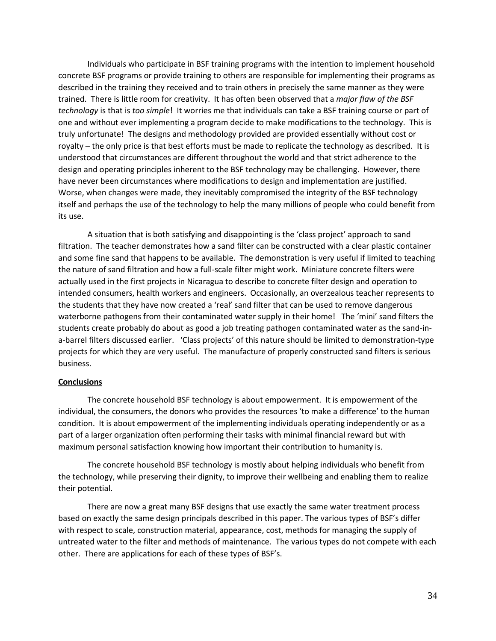Individuals who participate in BSF training programs with the intention to implement household concrete BSF programs or provide training to others are responsible for implementing their programs as described in the training they received and to train others in precisely the same manner as they were trained. There is little room for creativity. It has often been observed that a *major flaw of the BSF technology* is that is *too simple*! It worries me that individuals can take a BSF training course or part of one and without ever implementing a program decide to make modifications to the technology. This is truly unfortunate! The designs and methodology provided are provided essentially without cost or royalty – the only price is that best efforts must be made to replicate the technology as described. It is understood that circumstances are different throughout the world and that strict adherence to the design and operating principles inherent to the BSF technology may be challenging. However, there have never been circumstances where modifications to design and implementation are justified. Worse, when changes were made, they inevitably compromised the integrity of the BSF technology itself and perhaps the use of the technology to help the many millions of people who could benefit from its use.

A situation that is both satisfying and disappointing is the 'class project' approach to sand filtration. The teacher demonstrates how a sand filter can be constructed with a clear plastic container and some fine sand that happens to be available. The demonstration is very useful if limited to teaching the nature of sand filtration and how a full-scale filter might work. Miniature concrete filters were actually used in the first projects in Nicaragua to describe to concrete filter design and operation to intended consumers, health workers and engineers. Occasionally, an overzealous teacher represents to the students that they have now created a 'real' sand filter that can be used to remove dangerous waterborne pathogens from their contaminated water supply in their home! The 'mini' sand filters the students create probably do about as good a job treating pathogen contaminated water as the sand-ina-barrel filters discussed earlier. 'Class projects' of this nature should be limited to demonstration-type projects for which they are very useful. The manufacture of properly constructed sand filters is serious business.

### **Conclusions**

The concrete household BSF technology is about empowerment. It is empowerment of the individual, the consumers, the donors who provides the resources 'to make a difference' to the human condition. It is about empowerment of the implementing individuals operating independently or as a part of a larger organization often performing their tasks with minimal financial reward but with maximum personal satisfaction knowing how important their contribution to humanity is.

The concrete household BSF technology is mostly about helping individuals who benefit from the technology, while preserving their dignity, to improve their wellbeing and enabling them to realize their potential.

There are now a great many BSF designs that use exactly the same water treatment process based on exactly the same design principals described in this paper. The various types of BSF's differ with respect to scale, construction material, appearance, cost, methods for managing the supply of untreated water to the filter and methods of maintenance. The various types do not compete with each other. There are applications for each of these types of BSF's.